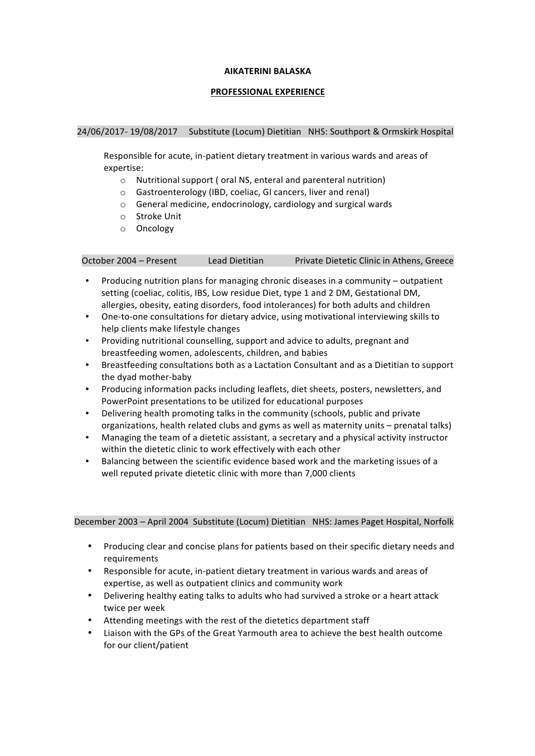#### **AIKATERINI BALASKA**

## **PROFESSIONAL EXPERIENCE**

### 24/06/2017- 19/08/2017 Substitute (Locum) Dietitian NHS: Southport & Ormskirk Hospital

Responsible for acute, in-patient dietary treatment in various wards and areas of expertise: 

- $\circ$  Nutritional support (oral NS, enteral and parenteral nutrition)
- o Gastroenterology (IBD, coeliac, GI cancers, liver and renal)
- $\circ$  General medicine, endocrinology, cardiology and surgical wards
- o Stroke Unit
- o Oncology

October 2004 - Present Lead Dietitian Private Dietetic Clinic in Athens, Greece

- Producing nutrition plans for managing chronic diseases in a community  $-$  outpatient setting (coeliac, colitis, IBS, Low residue Diet, type 1 and 2 DM, Gestational DM, allergies, obesity, eating disorders, food intolerances) for both adults and children
- One-to-one consultations for dietary advice, using motivational interviewing skills to help clients make lifestyle changes
- Providing nutritional counselling, support and advice to adults, pregnant and breastfeeding women, adolescents, children, and babies
- Breastfeeding consultations both as a Lactation Consultant and as a Dietitian to support the dyad mother-baby
- Producing information packs including leaflets, diet sheets, posters, newsletters, and PowerPoint presentations to be utilized for educational purposes
- Delivering health promoting talks in the community (schools, public and private organizations, health related clubs and gyms as well as maternity units – prenatal talks)
- Managing the team of a dietetic assistant, a secretary and a physical activity instructor within the dietetic clinic to work effectively with each other
- Balancing between the scientific evidence based work and the marketing issues of a well reputed private dietetic clinic with more than 7,000 clients

December 2003 – April 2004 Substitute (Locum) Dietitian NHS: James Paget Hospital, Norfolk

- Producing clear and concise plans for patients based on their specific dietary needs and requirements
- Responsible for acute, in-patient dietary treatment in various wards and areas of expertise, as well as outpatient clinics and community work
- Delivering healthy eating talks to adults who had survived a stroke or a heart attack twice per week
- Attending meetings with the rest of the dietetics department staff
- Liaison with the GPs of the Great Yarmouth area to achieve the best health outcome for our client/patient